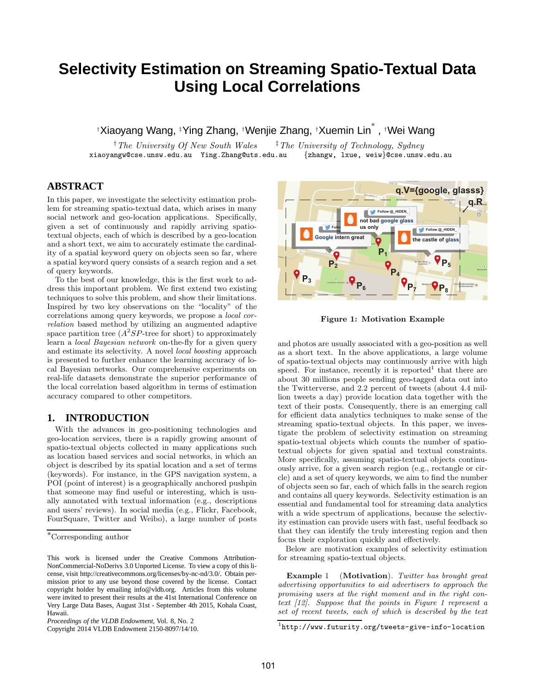# **Selectivity Estimation on Streaming Spatio-Textual Data Using Local Correlations**

†Xiaoyang Wang, ‡Ying Zhang, †Wenjie Zhang, †Xuemin Lin ∗ , †Wei Wang

†The University Of New South Wales ‡The University of Technology, Sydney xiaoyangw@cse.unsw.edu.au Ying.Zhang@uts.edu.au {zhangw, lxue, weiw}@cse.unsw.edu.au

# **ABSTRACT**

In this paper, we investigate the selectivity estimation problem for streaming spatio-textual data, which arises in many social network and geo-location applications. Specifically, given a set of continuously and rapidly arriving spatiotextual objects, each of which is described by a geo-location and a short text, we aim to accurately estimate the cardinality of a spatial keyword query on objects seen so far, where a spatial keyword query consists of a search region and a set of query keywords.

To the best of our knowledge, this is the first work to address this important problem. We first extend two existing techniques to solve this problem, and show their limitations. Inspired by two key observations on the "locality" of the correlations among query keywords, we propose a local correlation based method by utilizing an augmented adaptive space partition tree  $(A^2SP$ -tree for short) to approximately learn a local Bayesian network on-the-fly for a given query and estimate its selectivity. A novel local boosting approach is presented to further enhance the learning accuracy of local Bayesian networks. Our comprehensive experiments on real-life datasets demonstrate the superior performance of the local correlation based algorithm in terms of estimation accuracy compared to other competitors.

# **1. INTRODUCTION**

With the advances in geo-positioning technologies and geo-location services, there is a rapidly growing amount of spatio-textual objects collected in many applications such as location based services and social networks, in which an object is described by its spatial location and a set of terms (keywords). For instance, in the GPS navigation system, a POI (point of interest) is a geographically anchored pushpin that someone may find useful or interesting, which is usually annotated with textual information (e.g., descriptions and users' reviews). In social media (e.g., Flickr, Facebook, FourSquare, Twitter and Weibo), a large number of posts

Copyright 2014 VLDB Endowment 2150-8097/14/10.



Figure 1: Motivation Example

and photos are usually associated with a geo-position as well as a short text. In the above applications, a large volume of spatio-textual objects may continuously arrive with high speed. For instance, recently it is reported<sup>1</sup> that there are about 30 millions people sending geo-tagged data out into the Twitterverse, and 2.2 percent of tweets (about 4.4 million tweets a day) provide location data together with the text of their posts. Consequently, there is an emerging call for efficient data analytics techniques to make sense of the streaming spatio-textual objects. In this paper, we investigate the problem of selectivity estimation on streaming spatio-textual objects which counts the number of spatiotextual objects for given spatial and textual constraints. More specifically, assuming spatio-textual objects continuously arrive, for a given search region (e.g., rectangle or circle) and a set of query keywords, we aim to find the number of objects seen so far, each of which falls in the search region and contains all query keywords. Selectivity estimation is an essential and fundamental tool for streaming data analytics with a wide spectrum of applications, because the selectivity estimation can provide users with fast, useful feedback so that they can identify the truly interesting region and then focus their exploration quickly and effectively.

Below are motivation examples of selectivity estimation for streaming spatio-textual objects.

Example 1 (Motivation). Twitter has brought great advertising opportunities to aid advertisers to approach the promising users at the right moment and in the right context [12]. Suppose that the points in Figure 1 represent a set of recent tweets, each of which is described by the text

<sup>∗</sup>Corresponding author

This work is licensed under the Creative Commons Attribution-NonCommercial-NoDerivs 3.0 Unported License. To view a copy of this license, visit http://creativecommons.org/licenses/by-nc-nd/3.0/. Obtain permission prior to any use beyond those covered by the license. Contact copyright holder by emailing info@vldb.org. Articles from this volume were invited to present their results at the 41st International Conference on Very Large Data Bases, August 31st - September 4th 2015, Kohala Coast, Hawaii.

*Proceedings of the VLDB Endowment,* Vol. 8, No. 2

 $1$ http://www.futurity.org/tweets-give-info-location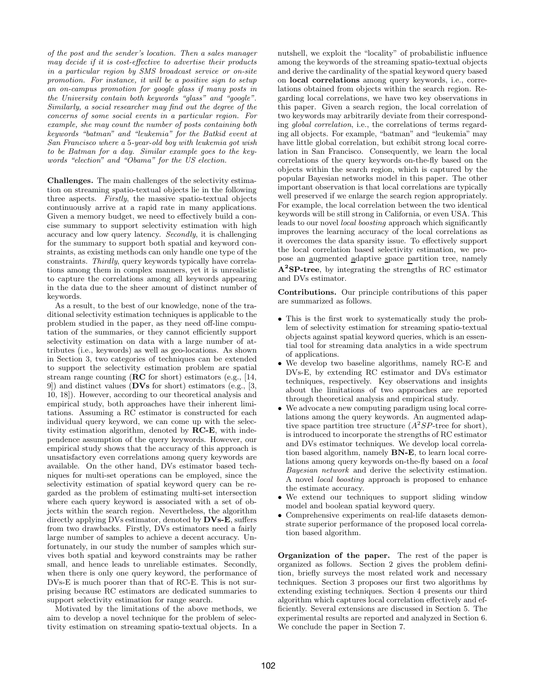of the post and the sender's location. Then a sales manager may decide if it is cost-effective to advertise their products in a particular region by SMS broadcast service or on-site promotion. For instance, it will be a positive sign to setup an on-campus promotion for google glass if many posts in the University contain both keywords "glass" and "google". Similarly, a social researcher may find out the degree of the concerns of some social events in a particular region. For example, she may count the number of posts containing both keywords "batman" and "leukemia" for the Batkid event at San Francisco where a 5-year-old boy with leukemia got wish to be Batman for a day. Similar example goes to the keywords "election" and "Obama" for the US election.

Challenges. The main challenges of the selectivity estimation on streaming spatio-textual objects lie in the following three aspects. Firstly, the massive spatio-textual objects continuously arrive at a rapid rate in many applications. Given a memory budget, we need to effectively build a concise summary to support selectivity estimation with high accuracy and low query latency. Secondly, it is challenging for the summary to support both spatial and keyword constraints, as existing methods can only handle one type of the constraints. Thirdly, query keywords typically have correlations among them in complex manners, yet it is unrealistic to capture the correlations among all keywords appearing in the data due to the sheer amount of distinct number of keywords.

As a result, to the best of our knowledge, none of the traditional selectivity estimation techniques is applicable to the problem studied in the paper, as they need off-line computation of the summaries, or they cannot efficiently support selectivity estimation on data with a large number of attributes (i.e., keywords) as well as geo-locations. As shown in Section 3, two categories of techniques can be extended to support the selectivity estimation problem are spatial stream range counting (RC for short) estimators (e.g., [14, 9]) and distinct values (DVs for short) estimators (e.g., [3, 10, 18]). However, according to our theoretical analysis and empirical study, both approaches have their inherent limitations. Assuming a RC estimator is constructed for each individual query keyword, we can come up with the selectivity estimation algorithm, denoted by RC-E, with independence assumption of the query keywords. However, our empirical study shows that the accuracy of this approach is unsatisfactory even correlations among query keywords are available. On the other hand, DVs estimator based techniques for multi-set operations can be employed, since the selectivity estimation of spatial keyword query can be regarded as the problem of estimating multi-set intersection where each query keyword is associated with a set of objects within the search region. Nevertheless, the algorithm directly applying DVs estimator, denoted by DVs-E, suffers from two drawbacks. Firstly, DVs estimators need a fairly large number of samples to achieve a decent accuracy. Unfortunately, in our study the number of samples which survives both spatial and keyword constraints may be rather small, and hence leads to unreliable estimates. Secondly, when there is only one query keyword, the performance of DVs-E is much poorer than that of RC-E. This is not surprising because RC estimators are dedicated summaries to support selectivity estimation for range search.

Motivated by the limitations of the above methods, we aim to develop a novel technique for the problem of selectivity estimation on streaming spatio-textual objects. In a nutshell, we exploit the "locality" of probabilistic influence among the keywords of the streaming spatio-textual objects and derive the cardinality of the spatial keyword query based on local correlations among query keywords, i.e., correlations obtained from objects within the search region. Regarding local correlations, we have two key observations in this paper. Given a search region, the local correlation of two keywords may arbitrarily deviate from their corresponding global correlation, i.e., the correlations of terms regarding all objects. For example, "batman" and "leukemia" may have little global correlation, but exhibit strong local correlation in San Francisco. Consequently, we learn the local correlations of the query keywords on-the-fly based on the objects within the search region, which is captured by the popular Bayesian networks model in this paper. The other important observation is that local correlations are typically well preserved if we enlarge the search region appropriately. For example, the local correlation between the two identical keywords will be still strong in California, or even USA. This leads to our novel local boosting approach which significantly improves the learning accuracy of the local correlations as it overcomes the data sparsity issue. To effectively support the local correlation based selectivity estimation, we propose an augmented adaptive space partition tree, namely  $A^2SP$ -tree, by integrating the strengths of RC estimator and DVs estimator.

Contributions. Our principle contributions of this paper are summarized as follows.

- This is the first work to systematically study the problem of selectivity estimation for streaming spatio-textual objects against spatial keyword queries, which is an essential tool for streaming data analytics in a wide spectrum of applications.
- We develop two baseline algorithms, namely RC-E and DVs-E, by extending RC estimator and DVs estimator techniques, respectively. Key observations and insights about the limitations of two approaches are reported through theoretical analysis and empirical study.
- We advocate a new computing paradigm using local correlations among the query keywords. An augmented adaptive space partition tree structure  $(A^2SP\text{-tree for short}),$ is introduced to incorporate the strengths of RC estimator and DVs estimator techniques. We develop local correlation based algorithm, namely BN-E, to learn local correlations among query keywords on-the-fly based on a local Bayesian network and derive the selectivity estimation. A novel local boosting approach is proposed to enhance the estimate accuracy.
- We extend our techniques to support sliding window model and boolean spatial keyword query.
- Comprehensive experiments on real-life datasets demonstrate superior performance of the proposed local correlation based algorithm.

Organization of the paper. The rest of the paper is organized as follows. Section 2 gives the problem definition, briefly surveys the most related work and necessary techniques. Section 3 proposes our first two algorithms by extending existing techniques. Section 4 presents our third algorithm which captures local correlation effectively and efficiently. Several extensions are discussed in Section 5. The experimental results are reported and analyzed in Section 6. We conclude the paper in Section 7.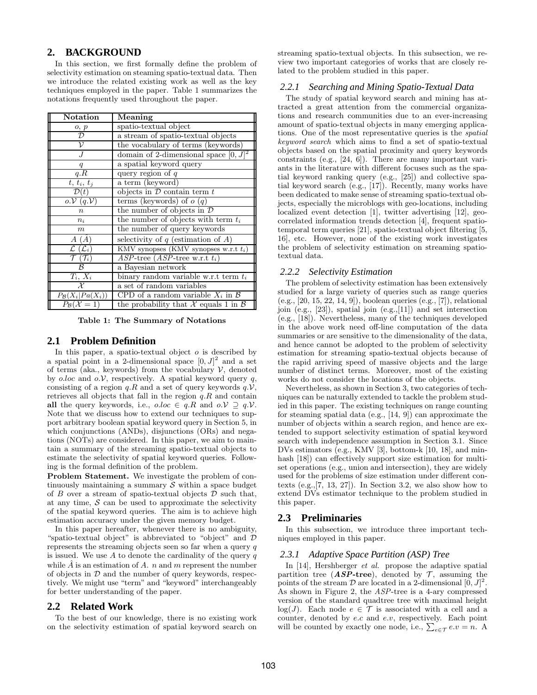# **2. BACKGROUND**

In this section, we first formally define the problem of selectivity estimation on steaming spatio-textual data. Then we introduce the related existing work as well as the key techniques employed in the paper. Table 1 summarizes the notations frequently used throughout the paper.

| Notation                                                                 | Meaning                                         |  |  |
|--------------------------------------------------------------------------|-------------------------------------------------|--|--|
| $\frac{o, p}{\mathcal{D}}$                                               | spatio-textual object                           |  |  |
|                                                                          | a stream of spatio-textual objects              |  |  |
| ν                                                                        | the vocabulary of terms (keywords)              |  |  |
|                                                                          | domain of 2-dimensional space $[0, J]^2$        |  |  |
| q                                                                        | a spatial keyword query                         |  |  |
| q.R                                                                      | query region of $q$                             |  |  |
| $t, t_i, t_j$                                                            | a term (keyword)                                |  |  |
| $\mathcal{D}(t)$                                                         | objects in $D$ contain term $t$                 |  |  |
| $o.\mathcal{V}(q.\mathcal{V})$                                           | terms (keywords) of $o(q)$                      |  |  |
| $\overline{n}$                                                           | the number of objects in $\mathcal D$           |  |  |
| $n_i$                                                                    | the number of objects with term $t_i$           |  |  |
| m                                                                        | the number of query keywords                    |  |  |
| $A(\hat{A})$                                                             | selectivity of $q$ (estimation of $A$ )         |  |  |
| KMV synopses (KMV synopses w.r.t $t_i$ )<br>$\mathcal{L}(\mathcal{L}_i)$ |                                                 |  |  |
| $\mathcal{T}\left(\mathcal{T}_i\right)$                                  | $ASP$ -tree $(ASP$ -tree w.r.t $t_i)$           |  |  |
| ß                                                                        | a Bayesian network                              |  |  |
| $T_i, X_i$                                                               | binary random variable w.r.t term $t_i$         |  |  |
| $\mathcal{X}$                                                            | a set of random variables                       |  |  |
| $P_{\mathcal{B}}(X_i Pa(X_i))$                                           | CPD of a random variable $X_i$ in $\mathcal{B}$ |  |  |
| $P_{\mathcal{B}}(\mathcal{X}=1)$                                         | the probability that X equals 1 in $\beta$      |  |  |

Table 1: The Summary of Notations

### **2.1 Problem Definition**

In this paper, a spatio-textual object  $o$  is described by a spatial point in a 2-dimensional space  $[0, J]^2$  and a set of terms (aka., keywords) from the vocabulary  $\mathcal V$ , denoted by o.loc and  $o.\mathcal{V}$ , respectively. A spatial keyword query q, consisting of a region  $q.R$  and a set of query keywords  $q.V$ , retrieves all objects that fall in the region  $q.R$  and contain all the query keywords, i.e.,  $o.\text{loc} \in q.R$  and  $o.\mathcal{V} \supseteq q.\mathcal{V}$ . Note that we discuss how to extend our techniques to support arbitrary boolean spatial keyword query in Section 5, in which conjunctions (ANDs), disjunctions (ORs) and negations (NOTs) are considered. In this paper, we aim to maintain a summary of the streaming spatio-textual objects to estimate the selectivity of spatial keyword queries. Following is the formal definition of the problem.

Problem Statement. We investigate the problem of continuously maintaining a summary  $S$  within a space budget of  $B$  over a stream of spatio-textual objects  $D$  such that, at any time,  $S$  can be used to approximate the selectivity of the spatial keyword queries. The aim is to achieve high estimation accuracy under the given memory budget.

In this paper hereafter, whenever there is no ambiguity, "spatio-textual object" is abbreviated to "object" and  $\mathcal D$ represents the streaming objects seen so far when a query  $q$ is issued. We use  $A$  to denote the cardinality of the query  $q$ while  $\hat{A}$  is an estimation of A. n and m represent the number of objects in  $D$  and the number of query keywords, respectively. We might use "term" and "keyword" interchangeably for better understanding of the paper.

### **2.2 Related Work**

To the best of our knowledge, there is no existing work on the selectivity estimation of spatial keyword search on

streaming spatio-textual objects. In this subsection, we review two important categories of works that are closely related to the problem studied in this paper.

#### *2.2.1 Searching and Mining Spatio-Textual Data*

The study of spatial keyword search and mining has attracted a great attention from the commercial organizations and research communities due to an ever-increasing amount of spatio-textual objects in many emerging applications. One of the most representative queries is the spatial keyword search which aims to find a set of spatio-textual objects based on the spatial proximity and query keywords constraints (e.g., [24, 6]). There are many important variants in the literature with different focuses such as the spatial keyword ranking query (e.g., [25]) and collective spatial keyword search (e.g., [17]). Recently, many works have been dedicated to make sense of streaming spatio-textual objects, especially the microblogs with geo-locations, including localized event detection [1], twitter advertising [12], geocorrelated information trends detection [4], frequent spatiotemporal term queries [21], spatio-textual object filtering [5, 16], etc. However, none of the existing work investigates the problem of selectivity estimation on streaming spatiotextual data.

#### *2.2.2 Selectivity Estimation*

The problem of selectivity estimation has been extensively studied for a large variety of queries such as range queries (e.g., [20, 15, 22, 14, 9]), boolean queries (e.g., [7]), relational join (e.g., [23]), spatial join (e.g.,[11]) and set intersection (e.g., [18]). Nevertheless, many of the techniques developed in the above work need off-line computation of the data summaries or are sensitive to the dimensionality of the data, and hence cannot be adopted to the problem of selectivity estimation for streaming spatio-textual objects because of the rapid arriving speed of massive objects and the large number of distinct terms. Moreover, most of the existing works do not consider the locations of the objects.

Nevertheless, as shown in Section 3, two categories of techniques can be naturally extended to tackle the problem studied in this paper. The existing techniques on range counting for steaming spatial data (e.g., [14, 9]) can approximate the number of objects within a search region, and hence are extended to support selectivity estimation of spatial keyword search with independence assumption in Section 3.1. Since DVs estimators (e.g., KMV [3], bottom-k [10, 18], and minhash [18]) can effectively support size estimation for multiset operations (e.g., union and intersection), they are widely used for the problems of size estimation under different contexts  $(e.g., [7, 13, 27])$ . In Section 3.2, we also show how to extend DVs estimator technique to the problem studied in this paper.

### **2.3 Preliminaries**

In this subsection, we introduce three important techniques employed in this paper.

### *2.3.1 Adaptive Space Partition (ASP) Tree*

In [14], Hershberger *et al.* propose the adaptive spatial partition tree (ASP-tree), denoted by  $\mathcal{T}$ , assuming the points of the stream  $\mathcal D$  are located in a 2-dimensional  $[0, J]^2$ . As shown in Figure 2, the ASP-tree is a 4-ary compressed version of the standard quadtree tree with maximal height log(J). Each node  $e \in \mathcal{T}$  is associated with a cell and a counter, denoted by e.c and e.v, respectively. Each point will be counted by exactly one node, i.e.,  $\sum_{e \in \mathcal{T}} e.v = n$ . A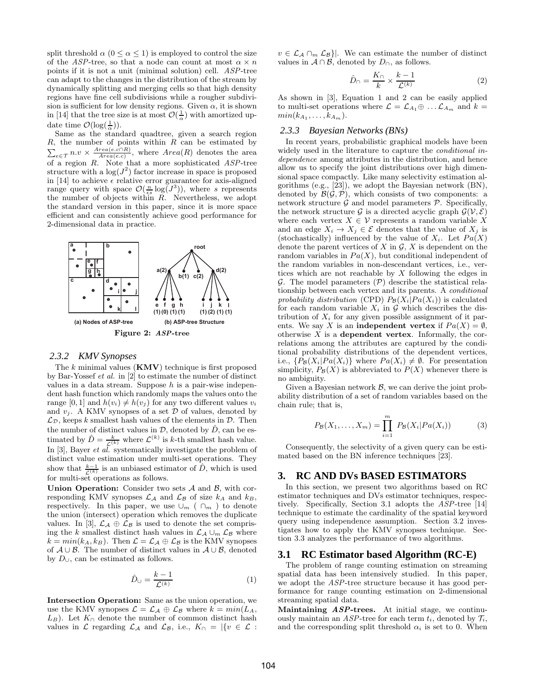split threshold  $\alpha$  ( $0 \leq \alpha \leq 1$ ) is employed to control the size of the ASP-tree, so that a node can count at most  $\alpha \times n$ points if it is not a unit (minimal solution) cell. ASP-tree can adapt to the changes in the distribution of the stream by dynamically splitting and merging cells so that high density regions have fine cell subdivisions while a rougher subdivision is sufficient for low density regions. Given  $\alpha$ , it is shown in [14] that the tree size is at most  $\mathcal{O}(\frac{1}{\alpha})$  with amortized update time  $\mathcal{O}(\log(\frac{1}{\alpha}))$ .

Same as the standard quadtree, given a search region R , the number of points within R can be estimated by  $\sum_{e \in \mathcal{T}} n.v \times \frac{Area(e.c) \cap R}{Area(e.c)}$ , where  $Area(R)$  denotes the area of a region  $R$ . Note that a more sophisticated  $ASP$ -tree structure with a  $\log(J^2)$  factor increase in space is proposed in [14] to achieve  $\epsilon$  relative error guarantee for axis-aligned range query with space  $\mathcal{O}(\frac{n}{\epsilon s} \log(J^3))$ , where s represents the number of objects within  $R$ . Nevertheless, we adopt the standard version in this paper, since it is more space efficient and can consistently achieve good performance for 2-dimensional data in practice.



### *2.3.2 KMV Synopses*

The  $k$  minimal values  $(KMV)$  technique is first proposed by Bar-Yossef et al. in [2] to estimate the number of distinct values in a data stream. Suppose  $h$  is a pair-wise independent hash function which randomly maps the values onto the range [0, 1] and  $h(v_i) \neq h(v_j)$  for any two different values  $v_i$ and  $v_i$ . A KMV synopses of a set  $\mathcal D$  of values, denoted by  $\mathcal{L}_{\mathcal{D}}$ , keeps k smallest hash values of the elements in  $\mathcal{D}$ . Then the number of distinct values in  $D$ , denoted by  $\hat{D}$ , can be estimated by  $\hat{D} = \frac{k}{\mathcal{L}^{(k)}}$  where  $\mathcal{L}^{(k)}$  is k-th smallest hash value. In  $[3]$ , Bayer *et al.* systematically investigate the problem of distinct value estimation under multi-set operations. They show that  $\frac{k-1}{\mathcal{L}^{(k)}}$  is an unbiased estimator of  $\hat{D}$ , which is used for multi-set operations as follows.

Union Operation: Consider two sets  $A$  and  $B$ , with corresponding KMV synopses  $\mathcal{L}_\mathcal{A}$  and  $\mathcal{L}_\mathcal{B}$  of size  $k_A$  and  $k_B$ , respectively. In this paper, we use  $\cup_m$  (  $\cap_m$  ) to denote the union (intersect) operation which removes the duplicate values. In [3],  $\mathcal{L}_{\mathcal{A}} \oplus \mathcal{L}_{\mathcal{B}}$  is used to denote the set comprising the k smallest distinct hash values in  $\mathcal{L}_{\mathcal{A}} \cup_{m} \mathcal{L}_{\mathcal{B}}$  where  $k = min(k_A, k_B)$ . Then  $\mathcal{L} = \mathcal{L}_{\mathcal{A}} \oplus \mathcal{L}_{\mathcal{B}}$  is the KMV synopses of  $A \cup B$ . The number of distinct values in  $A \cup B$ , denoted by  $D_{\cup}$ , can be estimated as follows.

$$
\hat{D}_{\cup} = \frac{k-1}{\mathcal{L}^{(k)}}\tag{1}
$$

Intersection Operation: Same as the union operation, we use the KMV synopses  $\mathcal{L} = \mathcal{L}_A \oplus \mathcal{L}_B$  where  $k = min(L_A,$  $L_B$ ). Let  $K_{\cap}$  denote the number of common distinct hash values in  $\mathcal L$  regarding  $\mathcal L_A$  and  $\mathcal L_B$ , i.e.,  $K_{\cap} = |\{v \in \mathcal L :$   $v \in \mathcal{L}_{\mathcal{A}} \cap_{m} \mathcal{L}_{\mathcal{B}}$ . We can estimate the number of distinct values in  $\mathcal{A} \cap \mathcal{B}$ , denoted by  $D_{\cap}$ , as follows.

$$
\hat{D}_{\cap} = \frac{K_{\cap}}{k} \times \frac{k-1}{\mathcal{L}^{(k)}} \tag{2}
$$

As shown in [3], Equation 1 and 2 can be easily applied to multi-set operations where  $\mathcal{L} = \mathcal{L}_{A_1} \oplus \dots \mathcal{L}_{A_m}$  and  $k =$  $min(k_{A_1},\ldots,k_{A_m}).$ 

# *2.3.3 Bayesian Networks (BNs)*

In recent years, probabilistic graphical models have been widely used in the literature to capture the *conditional* independence among attributes in the distribution, and hence allow us to specify the joint distributions over high dimensional space compactly. Like many selectivity estimation algorithms (e.g., [23]), we adopt the Bayesian network (BN), denoted by  $\mathcal{B}(\mathcal{G}, \mathcal{P})$ , which consists of two components: a network structure  $\mathcal G$  and model parameters  $\mathcal P$ . Specifically, the network structure G is a directed acyclic graph  $\mathcal{G}(\mathcal{V}, \mathcal{E})$ where each vertex  $X \in \mathcal{V}$  represents a random variable X and an edge  $X_i \to X_j \in \mathcal{E}$  denotes that the value of  $X_j$  is (stochastically) influenced by the value of  $X_i$ . Let  $Pa(X)$ denote the parent vertices of  $X$  in  $\mathcal{G}, X$  is dependent on the random variables in  $Pa(X)$ , but conditional independent of the random variables in non-descendant vertices, i.e., vertices which are not reachable by  $X$  following the edges in  $G$ . The model parameters  $(\mathcal{P})$  describe the statistical relationship between each vertex and its parents. A conditional probability distribution (CPD)  $P_{\mathcal{B}}(X_i|Pa(X_i))$  is calculated for each random variable  $X_i$  in  $G$  which describes the distribution of  $X_i$  for any given possible assignment of it parents. We say X is an **independent vertex** if  $Pa(X) = \emptyset$ , otherwise  $X$  is a dependent vertex. Informally, the correlations among the attributes are captured by the conditional probability distributions of the dependent vertices, i.e.,  $\{P_{\mathcal{B}}(X_i|Pa(X_i))\}$  where  $Pa(X_i) \neq \emptyset$ . For presentation simplicity,  $P_{\mathcal{B}}(X)$  is abbreviated to  $P(X)$  whenever there is no ambiguity.

Given a Bayesian network  $\beta$ , we can derive the joint probability distribution of a set of random variables based on the chain rule; that is,

$$
P_{\mathcal{B}}(X_1, ..., X_m) = \prod_{i=1}^{m} P_{\mathcal{B}}(X_i | Pa(X_i))
$$
 (3)

Consequently, the selectivity of a given query can be estimated based on the BN inference techniques [23].

# **3. RC AND DVs BASED ESTIMATORS**

In this section, we present two algorithms based on RC estimator techniques and DVs estimator techniques, respectively. Specifically, Section 3.1 adopts the ASP-tree [14] technique to estimate the cardinality of the spatial keyword query using independence assumption. Section 3.2 investigates how to apply the KMV synopses technique. Section 3.3 analyzes the performance of two algorithms.

# **3.1 RC Estimator based Algorithm (RC-E)**

The problem of range counting estimation on streaming spatial data has been intensively studied. In this paper, we adopt the ASP-tree structure because it has good performance for range counting estimation on 2-dimensional streaming spatial data.

Maintaining  $ASP$ -trees. At initial stage, we continuously maintain an ASP-tree for each term  $t_i$ , denoted by  $\mathcal{T}_i$ , and the corresponding split threshold  $\alpha_i$  is set to 0. When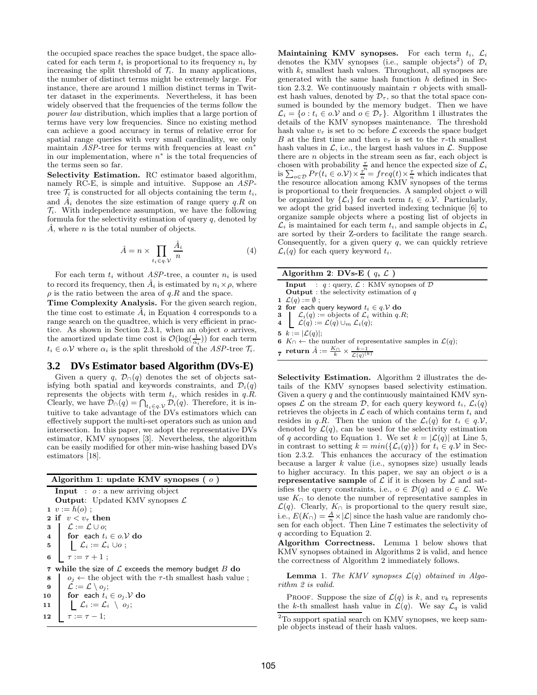the occupied space reaches the space budget, the space allocated for each term  $t_i$  is proportional to its frequency  $n_i$  by increasing the split threshold of  $\mathcal{T}_i$ . In many applications, the number of distinct terms might be extremely large. For instance, there are around 1 million distinct terms in Twitter dataset in the experiments. Nevertheless, it has been widely observed that the frequencies of the terms follow the power law distribution, which implies that a large portion of terms have very low frequencies. Since no existing method can achieve a good accuracy in terms of relative error for spatial range queries with very small cardinality, we only maintain ASP-tree for terms with frequencies at least  $\epsilon n^i$ in our implementation, where  $n^*$  is the total frequencies of the terms seen so far.

Selectivity Estimation. RC estimator based algorithm, namely RC-E, is simple and intuitive. Suppose an ASPtree  $\mathcal{T}_i$  is constructed for all objects containing the term  $t_i$ , and  $A_i$  denotes the size estimation of range query  $q.R$  on  $\mathcal{T}_i$ . With independence assumption, we have the following formula for the selectivity estimation of query  $q$ , denoted by  $\tilde{A}$ , where *n* is the total number of objects.

$$
\hat{A} = n \times \prod_{t_i \in q, \mathcal{V}} \frac{\hat{A}_i}{n} \tag{4}
$$

For each term  $t_i$  without ASP-tree, a counter  $n_i$  is used to record its frequency, then  $\hat{A}_i$  is estimated by  $n_i \times \rho$ , where  $\rho$  is the ratio between the area of  $q.R$  and the space.

Time Complexity Analysis. For the given search region, the time cost to estimate  $\hat{A}_i$  in Equation 4 corresponds to a range search on the quadtree, which is very efficient in practice. As shown in Section 2.3.1, when an object o arrives, the amortized update time cost is  $\mathcal{O}(\log(\frac{1}{\alpha_i}))$  for each term  $t_i \in o.\mathcal{V}$  where  $\alpha_i$  is the split threshold of the ASP-tree  $\mathcal{T}_i$ .

# **3.2 DVs Estimator based Algorithm (DVs-E)**

Given a query q,  $\mathcal{D}_{\cap}(q)$  denotes the set of objects satisfying both spatial and keywords constraints, and  $\mathcal{D}_i(q)$ represents the objects with term  $t_i$ , which resides in  $q.\tilde{R}$ . Clearly, we have  $\mathcal{D}_{\cap}(q) = \bigcap_{t_i \in q, \mathcal{V}} \mathcal{D}_i(q)$ . Therefore, it is intuitive to take advantage of the DVs estimators which can effectively support the multi-set operators such as union and intersection. In this paper, we adopt the representative DVs estimator, KMV synopses [3]. Nevertheless, the algorithm can be easily modified for other min-wise hashing based DVs estimators [18].

#### Algorithm 1: update KMV synopses ( o )

**Input** :  $o$  : a new arriving object **Output:** Updated KMV synopses  $\mathcal{L}$ 1  $v := h(o)$ : 2 if  $v < v_\tau$  then 3  $\mathcal{L} := \mathcal{L} \cup o;$ 4 for each  $t_i \in o.\mathcal{V}$  do 5  $\bigcup \mathcal{L}_i := \mathcal{L}_i \cup o;$ 6  $\tau := \tau + 1$ ; 7 while the size of  $\mathcal L$  exceeds the memory budget  $B$  do 8  $o_j \leftarrow$  the object with the  $\tau$ -th smallest hash value; 9  $\bigcup \mathcal{L} := \mathcal{L} \setminus o_j;$ 10 for each  $t_i \in o_j \mathcal{Y}$  do 11  $\bigcup \mathcal{L}_i := \mathcal{L}_i \setminus o_j;$ 12  $\tau := \tau - 1;$ 

Maintaining KMV synopses. For each term  $t_i$ ,  $\mathcal{L}_i$ denotes the KMV synopses (i.e., sample objects<sup>2</sup>) of  $\mathcal{D}_i$ with  $k_i$  smallest hash values. Throughout, all synopses are generated with the same hash function  $h$  defined in Section 2.3.2. We continuously maintain  $\tau$  objects with smallest hash values, denoted by  $\mathcal{D}_{\tau}$ , so that the total space consumed is bounded by the memory budget. Then we have  $\mathcal{L}_i = \{o : t_i \in o.\mathcal{V} \text{ and } o \in \mathcal{D}_{\tau}\}\$ . Algorithm 1 illustrates the details of the KMV synopses maintenance. The threshold hash value  $v_{\tau}$  is set to  $\infty$  before  $\mathcal L$  exceeds the space budget B at the first time and then  $v_{\tau}$  is set to the  $\tau$ -th smallest hash values in  $\mathcal{L}$ , i.e., the largest hash values in  $\mathcal{L}$ . Suppose there are n objects in the stream seen as far, each object is chosen with probability  $\frac{\tau}{n}$  and hence the expected size of  $\mathcal{L}_i$ is  $\sum_{o \in \mathcal{D}} Pr(t_i \in o.\mathcal{V}) \times \frac{\tau^n}{n} = freq(t) \times \frac{\tau}{n}$  which indicates that the resource allocation among KMV synopses of the terms is proportional to their frequencies. A sampled object o will be organized by  $\{\mathcal{L}_i\}$  for each term  $t_i \in \partial \mathcal{V}$ . Particularly, we adopt the grid based inverted indexing technique [6] to organize sample objects where a posting list of objects in  $\mathcal{L}_i$  is maintained for each term  $t_i$ , and sample objects in  $\mathcal{L}_i$ are sorted by their Z-orders to facilitate the range search. Consequently, for a given query  $q$ , we can quickly retrieve  $\mathcal{L}_i(q)$  for each query keyword  $t_i$ .

| Algorithm 2: DVs-E ( $q, \mathcal{L}$ ) |                                                                                                                                |  |  |  |
|-----------------------------------------|--------------------------------------------------------------------------------------------------------------------------------|--|--|--|
|                                         | <b>Input</b> : $q$ : query, $\mathcal{L}$ : KMV synopses of $\mathcal{D}$<br><b>Output</b> : the selectivity estimation of $q$ |  |  |  |
|                                         | 1 $\mathcal{L}(q) := \emptyset$ ;                                                                                              |  |  |  |
|                                         | 2 for each query keyword $t_i \in q$ . $\mathcal V$ do                                                                         |  |  |  |

3  $\mathcal{L}_i(q) := \text{objects of } \mathcal{L}_i \text{ within } q.R;$ 4  $\mathcal{L}(q) := \mathcal{L}(q) \cup_m \mathcal{L}_i(q);$ 

5  $k := |\mathcal{L}(q)|;$ 

6 K∩ ← the number of representative samples in  $\mathcal{L}(q)$ ;

 $\tau$  return  $\hat{A} := \frac{K_{\bigcap}}{k} \times \frac{k-1}{\mathcal{L}(q)^{(k)}}$ 

Selectivity Estimation. Algorithm 2 illustrates the details of the KMV synopses based selectivity estimation. Given a query  $q$  and the continuously maintained KMV synopses  $\mathcal L$  on the stream  $\mathcal D$ , for each query keyword  $t_i$ ,  $\mathcal L_i(q)$ retrieves the objects in  $\mathcal L$  each of which contains term  $t_i$  and resides in q.R. Then the union of the  $\mathcal{L}_i(q)$  for  $t_i \in q.\mathcal{V}$ , denoted by  $\mathcal{L}(q)$ , can be used for the selectivity estimation of q according to Equation 1. We set  $k = |\mathcal{L}(q)|$  at Line 5, in contrast to setting  $k = min({\mathcal{L}_i(q)})$  for  $t_i \in q$ . V in Section 2.3.2. This enhances the accuracy of the estimation because a larger  $k$  value (i.e., synopses size) usually leads to higher accuracy. In this paper, we say an object  $o$  is a representative sample of  $\mathcal L$  if it is chosen by  $\mathcal L$  and satisfies the query constraints, i.e.,  $o \in \mathcal{D}(q)$  and  $o \in \mathcal{L}$ . We use  $K_{\cap}$  to denote the number of representative samples in  $\mathcal{L}(q)$ . Clearly,  $K \cap$  is proportional to the query result size, i.e.,  $E(K \cap) = \frac{A}{n} \times |\mathcal{L}|$  since the hash value are randomly chosen for each object. Then Line 7 estimates the selectivity of q according to Equation 2.

Algorithm Correctness. Lemma 1 below shows that KMV synopses obtained in Algorithms 2 is valid, and hence the correctness of Algorithm 2 immediately follows.

**Lemma** 1. The KMV synopses  $\mathcal{L}(q)$  obtained in Algorithm 2 is valid.

PROOF. Suppose the size of  $\mathcal{L}(q)$  is k, and  $v_k$  represents the k-th smallest hash value in  $\mathcal{L}(q)$ . We say  $\mathcal{L}_q$  is valid

<sup>&</sup>lt;sup>2</sup>To support spatial search on KMV synopses, we keep sample objects instead of their hash values.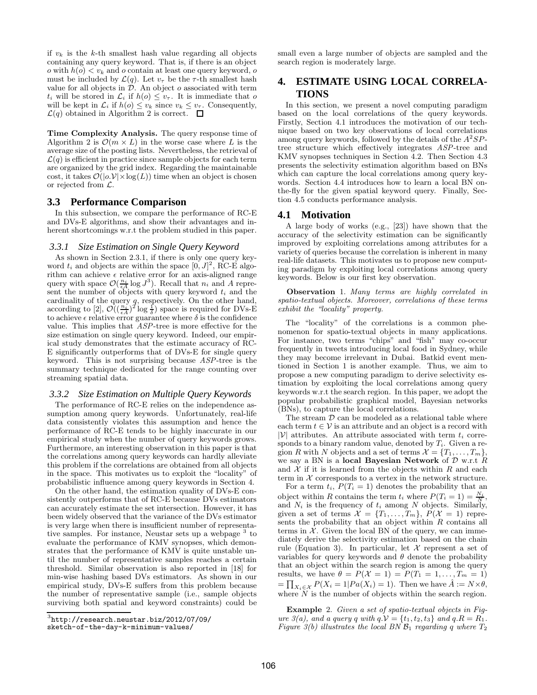if  $v_k$  is the k-th smallest hash value regarding all objects containing any query keyword. That is, if there is an object o with  $h(o) < v_k$  and o contain at least one query keyword, o must be included by  $\mathcal{L}(q)$ . Let  $v_{\tau}$  be the  $\tau$ -th smallest hash value for all objects in  $D$ . An object  $o$  associated with term  $t_i$  will be stored in  $\mathcal{L}_i$  if  $h(o) \leq v_\tau$ . It is immediate that o will be kept in  $\mathcal{L}_i$  if  $h(o) \leq v_k$  since  $v_k \leq v_\tau$ . Consequently,  $\mathcal{L}(q)$  obtained in Algorithm 2 is correct.  $\Box$ 

Time Complexity Analysis. The query response time of Algorithm 2 is  $\mathcal{O}(m \times L)$  in the worse case where L is the average size of the posting lists. Nevertheless, the retrieval of  $\mathcal{L}(q)$  is efficient in practice since sample objects for each term are organized by the grid index. Regarding the maintainable cost, it takes  $\mathcal{O}(|o.\mathcal{V}| \times \log(L))$  time when an object is chosen or rejected from  $\mathcal{L}$ .

# **3.3 Performance Comparison**

In this subsection, we compare the performance of RC-E and DVs-E algorithms, and show their advantages and inherent shortcomings w.r.t the problem studied in this paper.

### *3.3.1 Size Estimation on Single Query Keyword*

As shown in Section 2.3.1, if there is only one query keyword  $t_i$  and objects are within the space  $[0, J]^2$ , RC-E algorithm can achieve  $\epsilon$  relative error for an axis-aligned range query with space  $\mathcal{O}(\frac{n_i}{\epsilon A} \log J^3)$ . Recall that  $n_i$  and A represent the number of objects with query keyword  $t_i$  and the cardinality of the query q, respectively. On the other hand, according to [2],  $\mathcal{O}((\frac{n_i}{\epsilon A})^2 \log \frac{1}{\delta})$  space is required for DVs-E to achieve  $\epsilon$  relative error guarantee where  $\delta$  is the confidence value. This implies that ASP-tree is more effective for the size estimation on single query keyword. Indeed, our empirical study demonstrates that the estimate accuracy of RC-E significantly outperforms that of DVs-E for single query keyword. This is not surprising because ASP-tree is the summary technique dedicated for the range counting over streaming spatial data.

### *3.3.2 Size Estimation on Multiple Query Keywords*

The performance of RC-E relies on the independence assumption among query keywords. Unfortunately, real-life data consistently violates this assumption and hence the performance of RC-E tends to be highly inaccurate in our empirical study when the number of query keywords grows. Furthermore, an interesting observation in this paper is that the correlations among query keywords can hardly alleviate this problem if the correlations are obtained from all objects in the space. This motivates us to exploit the "locality" of probabilistic influence among query keywords in Section 4.

On the other hand, the estimation quality of DVs-E consistently outperforms that of RC-E because DVs estimators can accurately estimate the set intersection. However, it has been widely observed that the variance of the DVs estimator is very large when there is insufficient number of representative samples. For instance, Neustar sets up a webpage<sup>3</sup> to evaluate the performance of KMV synopses, which demonstrates that the performance of KMV is quite unstable until the number of representative samples reaches a certain threshold. Similar observation is also reported in [18] for min-wise hashing based DVs estimators. As shown in our empirical study, DVs-E suffers from this problem because the number of representative sample (i.e., sample objects surviving both spatial and keyword constraints) could be

small even a large number of objects are sampled and the search region is moderately large.

# **4. ESTIMATE USING LOCAL CORRELA-TIONS**

In this section, we present a novel computing paradigm based on the local correlations of the query keywords. Firstly, Section 4.1 introduces the motivation of our technique based on two key observations of local correlations among query keywords, followed by the details of the  $A^2SP$ tree structure which effectively integrates ASP-tree and KMV synopses techniques in Section 4.2. Then Section 4.3 presents the selectivity estimation algorithm based on BNs which can capture the local correlations among query keywords. Section 4.4 introduces how to learn a local BN onthe-fly for the given spatial keyword query. Finally, Section 4.5 conducts performance analysis.

# **4.1 Motivation**

A large body of works (e.g., [23]) have shown that the accuracy of the selectivity estimation can be significantly improved by exploiting correlations among attributes for a variety of queries because the correlation is inherent in many real-life datasets. This motivates us to propose new computing paradigm by exploiting local correlations among query keywords. Below is our first key observation.

Observation 1. Many terms are highly correlated in spatio-textual objects. Moreover, correlations of these terms exhibit the "locality" property.

The "locality" of the correlations is a common phenomenon for spatio-textual objects in many applications. For instance, two terms "chips" and "fish" may co-occur frequently in tweets introducing local food in Sydney, while they may become irrelevant in Dubai. Batkid event mentioned in Section 1 is another example. Thus, we aim to propose a new computing paradigm to derive selectivity estimation by exploiting the local correlations among query keywords w.r.t the search region. In this paper, we adopt the popular probabilistic graphical model, Bayesian networks (BNs), to capture the local correlations.

The stream  $D$  can be modeled as a relational table where each term  $t \in V$  is an attribute and an object is a record with  $|\mathcal{V}|$  attributes. An attribute associated with term  $t_i$  corresponds to a binary random value, denoted by  $T_i$ . Given a region R with N objects and a set of terms  $\mathcal{X} = \{T_1, \ldots, T_m\},\$ we say a BN is a local Bayesian Network of  $D$  w.r.t  $R$ and  $\mathcal X$  if it is learned from the objects within  $R$  and each term in  $X$  corresponds to a vertex in the network structure.

For a term  $t_i$ ,  $P(T_i = 1)$  denotes the probability that an object within R contains the term  $t_i$  where  $P(T_i = 1) = \frac{N_i}{N}$ , and  $N_i$  is the frequency of  $t_i$  among N objects. Similarly, given a set of terms  $\mathcal{X} = \{T_1, \ldots, T_m\}, P(\mathcal{X} = 1)$  represents the probability that an object within  $R$  contains all terms in  $\overline{\mathcal{X}}$ . Given the local BN of the query, we can immediately derive the selectivity estimation based on the chain rule (Equation 3). In particular, let  $\mathcal X$  represent a set of variables for query keywords and  $\theta$  denote the probability that an object within the search region is among the query results, we have  $\theta = P(\mathcal{X} = 1) = P(T_1 = 1, \ldots, T_m = 1)$  $=\prod_{X_i\in\mathcal{X}}P(X_i=1|Pa(X_i)=1).$  Then we have  $\hat{A}:=N\times\theta,$ where  $N$  is the number of objects within the search region.

Example 2. Given a set of spatio-textual objects in Figure  $3(a)$ , and a query q with  $q.V = \{t_1, t_2, t_3\}$  and  $q.R = R_1$ . Figure  $3(b)$  illustrates the local BN  $\mathcal{B}_1$  regarding q where  $T_2$ 

 $^3$ http://research.neustar.biz/2012/07/09/

sketch-of-the-day-k-minimum-values/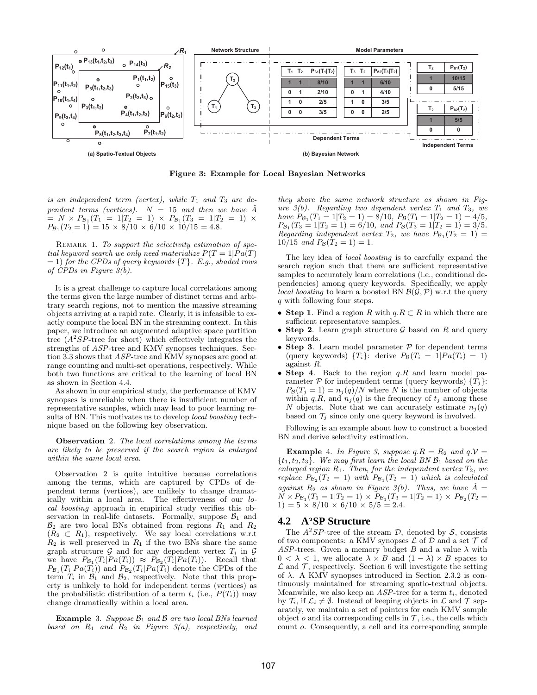

Figure 3: Example for Local Bayesian Networks

is an independent term (vertex), while  $T_1$  and  $T_3$  are dependent terms (vertices).  $N = 15$  and then we have A  $= N \times P_{\mathcal{B}_1}(T_1 = 1 | T_2 = 1) \times P_{\mathcal{B}_1}(T_3 = 1 | T_2 = 1) \times$  $P_{\mathcal{B}_1}(T_2 = 1) = 15 \times 8/10 \times 6/10 \times 10/15 = 4.8.$ 

REMARK 1. To support the selectivity estimation of spatial keyword search we only need materialize  $P(T = 1| Pa(T))$  $= 1$ ) for the CPDs of query keywords  $\{T\}$ . E.g., shaded rows of CPDs in Figure 3(b).

It is a great challenge to capture local correlations among the terms given the large number of distinct terms and arbitrary search regions, not to mention the massive streaming objects arriving at a rapid rate. Clearly, it is infeasible to exactly compute the local BN in the streaming context. In this paper, we introduce an augmented adaptive space partition tree  $(A^2SP$ -tree for short) which effectively integrates the strengths of ASP-tree and KMV synopses techniques. Section 3.3 shows that ASP-tree and KMV synopses are good at range counting and multi-set operations, respectively. While both two functions are critical to the learning of local BN as shown in Section 4.4.

As shown in our empirical study, the performance of KMV synopses is unreliable when there is insufficient number of representative samples, which may lead to poor learning results of BN. This motivates us to develop *local boosting* technique based on the following key observation.

Observation 2. The local correlations among the terms are likely to be preserved if the search region is enlarged within the same local area.

Observation 2 is quite intuitive because correlations among the terms, which are captured by CPDs of dependent terms (vertices), are unlikely to change dramatically within a local area. The effectiveness of our local boosting approach in empirical study verifies this observation in real-life datasets. Formally, suppose  $\mathcal{B}_1$  and  $\mathcal{B}_2$  are two local BNs obtained from regions  $R_1$  and  $R_2$  $(R_2 \subset R_1)$ , respectively. We say local correlations w.r.t  $R_2$  is well preserved in  $R_1$  if the two BNs share the same graph structure G and for any dependent vertex  $T_i$  in G we have  $P_{\mathcal{B}_1}(T_i|Pa(T_i)) \approx P_{\mathcal{B}_2}(T_i|Pa(T_i)).$  Recall that  $P_{\mathcal{B}_1}(T_i|Pa(T_i))$  and  $P_{\mathcal{B}_2}(T_i|Pa(T_i))$  denote the CPDs of the term  $T_i$  in  $\mathcal{B}_1$  and  $\mathcal{B}_2$ , respectively. Note that this property is unlikely to hold for independent terms (vertices) as the probabilistic distribution of a term  $t_i$  (i.e.,  $P(T_i)$ ) may change dramatically within a local area.

**Example** 3. Suppose  $\mathcal{B}_1$  and  $\mathcal{B}$  are two local BNs learned based on  $R_1$  and  $R_2$  in Figure 3(a), respectively, and they share the same network structure as shown in Figure  $3(b)$ . Regarding two dependent vertex  $T_1$  and  $T_3$ , we have  $P_{\mathcal{B}_1}(T_1 = 1 | T_2 = 1) = 8/10$ ,  $P_{\mathcal{B}}(T_1 = 1 | T_2 = 1) = 4/5$ ,  $P_{\mathcal{B}_1}(T_3 = 1 | T_2 = 1) = 6/10$ , and  $P_{\mathcal{B}}(T_3 = 1 | T_2 = 1) = 3/5$ . Regarding independent vertex  $T_2$ , we have  $P_{\mathcal{B}_1}(T_2 = 1) =$  $10/15$  and  $P_{\mathcal{B}}(T_2 = 1) = 1$ .

The key idea of local boosting is to carefully expand the search region such that there are sufficient representative samples to accurately learn correlations (i.e., conditional dependencies) among query keywords. Specifically, we apply local boosting to learn a boosted BN  $\mathcal{B}(\mathcal{G}, \mathcal{P})$  w.r.t the query q with following four steps.

- Step 1. Find a region R with  $q.R \subset R$  in which there are sufficient representative samples.
- Step 2. Learn graph structure  $\mathcal G$  based on  $R$  and query keywords.
- Step 3. Learn model parameter  $P$  for dependent terms (query keywords)  $\{T_i\}$ : derive  $P_{\mathcal{B}}(T_i = 1 | Pa(T_i) = 1)$ against R.
- Step 4. Back to the region  $q.R$  and learn model parameter  $P$  for independent terms (query keywords)  $\{T_j\}$ :  $P_{\mathcal{B}}(T_j = 1) = n_j(q)/N$  where N is the number of objects within  $q.R$ , and  $n_j(q)$  is the frequency of  $t_j$  among these N objects. Note that we can accurately estimate  $n_i(q)$ based on  $\mathcal{T}_i$  since only one query keyword is involved.

Following is an example about how to construct a boosted BN and derive selectivity estimation.

**Example** 4. In Figure 3, suppose  $q.R = R_2$  and  $q.V =$  $\{t_1, t_2, t_3\}$ . We may first learn the local BN  $\mathcal{B}_1$  based on the enlarged region  $R_1$ . Then, for the independent vertex  $T_2$ , we replace  $P_{\mathcal{B}_2}(T_2 = 1)$  with  $P_{\mathcal{B}_1}(T_2 = 1)$  which is calculated against  $R_2$  as shown in Figure 3(b). Thus, we have  $\hat{A} =$  $N \times P_{B_1}(T_1 = 1|T_2 = 1) \times P_{B_1}(T_3 = 1|T_2 = 1) \times P_{B_2}(T_2 =$  $1) = 5 \times 8/10 \times 6/10 \times 5/5 = 2.4.$ 

# **4.2 A**<sup>2</sup>**SP Structure**

The  $A^2SP$ -tree of the stream D, denoted by S, consists of two components: a KMV synopses  $\mathcal L$  of  $\mathcal D$  and a set  $\mathcal T$  of ASP-trees. Given a memory budget  $B$  and a value  $\lambda$  with  $0 < \lambda < 1$ , we allocate  $\lambda \times B$  and  $(1 - \lambda) \times B$  spaces to  $\mathcal L$  and  $\mathcal T$ , respectively. Section 6 will investigate the setting of  $\lambda$ . A KMV synopses introduced in Section 2.3.2 is continuously maintained for streaming spatio-textual objects. Meanwhile, we also keep an  $ASP$ -tree for a term  $t_i$ , denoted by  $\mathcal{T}_i$ , if  $\mathcal{L}_i \neq \emptyset$ . Instead of keeping objects in  $\mathcal{L}$  and  $\mathcal{T}$  separately, we maintain a set of pointers for each KMV sample object  $o$  and its corresponding cells in  $\mathcal{T}$ , i.e., the cells which count o. Consequently, a cell and its corresponding sample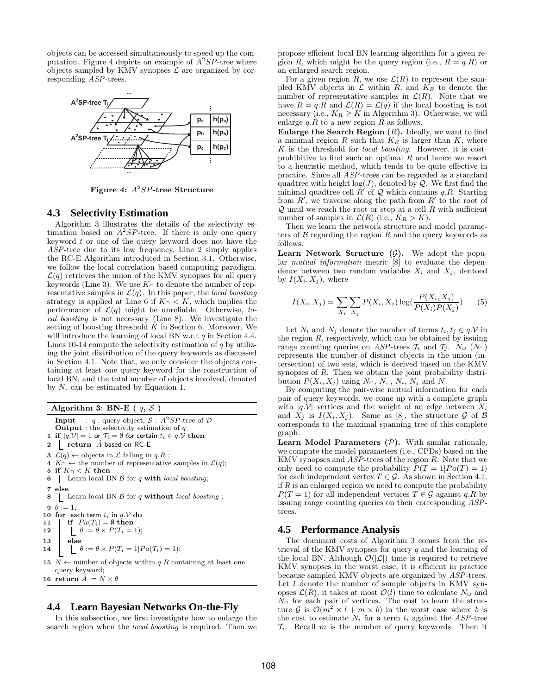objects can be accessed simultaneously to speed up the computation. Figure 4 depicts an example of  $A^2SP$ -tree where objects sampled by KMV synopses  $\mathcal L$  are organized by corresponding ASP-trees.



Figure 4:  $A^2SP$ -tree Structure

### **4.3 Selectivity Estimation**

Algorithm 3 illustrates the details of the selectivity estimation based on  $A^2SP$ -tree. If there is only one query keyword  $t$  or one of the query keyword does not have the ASP-tree due to its low frequency, Line 2 simply applies the RC-E Algorithm introduced in Section 3.1. Otherwise, we follow the local correlation based computing paradigm.  $\mathcal{L}(q)$  retrieves the union of the KMV synopses for all query keywords (Line 3). We use  $K<sub>∩</sub>$  to denote the number of representative samples in  $\mathcal{L}(q)$ . In this paper, the *local boosting* strategy is applied at Line 6 if  $K \cap \langle K \rangle$ , which implies the performance of  $\mathcal{L}(q)$  might be unreliable. Otherwise, local boosting is not necessary (Line 8). We investigate the setting of boosting threshold  $\hat{K}$  in Section 6. Moreover, We will introduce the learning of local BN w.r.t q in Section 4.4. Lines 10-14 compute the selectivity estimation of  $q$  by utilizing the joint distribution of the query keywords as discussed in Section 4.1. Note that, we only consider the objects containing at least one query keyword for the construction of local BN, and the total number of objects involved, denoted by  $N$ , can be estimated by Equation 1.

Algorithm 3: BN-E (q,  $S$ 

**Input** :  $q$  : query object,  $S$  :  $A^2SP$ -tree of  $D$ **Output** : the selectivity estimation of  $q$ 1 if  $|q.V| = 1$  or  $\mathcal{T}_i = \emptyset$  for certain  $t_i \in q.V$  then 2 return  $\hat{A}$  based on RC-E 3  $\mathcal{L}(q) \leftarrow$  objects in  $\mathcal L$  falling in  $q.R$ ; 4 K∩ ← the number of representative samples in  $\mathcal{L}(q)$ ; 5 if  $K<sub>∩</sub> < K$  then 6 Learn local BN  $\beta$  for q with local boosting; 7 else  $8 \perp$  Learn local BN  $\beta$  for q without local boosting; 9  $\theta := 1$ ; 10 for each term  $t_i$  in  $q.\mathcal{V}$  do 11 if  $Pa(T_i) = \emptyset$  then<br>
12  $\theta := \theta \times P(T_i) =$  $\Box \theta := \theta \times P(T_i = 1);$  $\begin{array}{c|c} 13 & else \\ 14 & 16 \end{array}$  $\Box \theta := \theta \times P(T_i = 1|Pa(T_i) = 1);$ 15  $N \leftarrow$  number of objects within q.R containing at least one query keyword; 16 return  $\hat{A} := N \times \theta$ 

# **4.4 Learn Bayesian Networks On-the-Fly**

In this subsection, we first investigate how to enlarge the search region when the local boosting is required. Then we propose efficient local BN learning algorithm for a given region R, which might be the query region (i.e.,  $R = q.R$ ) or an enlarged search region.

For a given region R, we use  $\mathcal{L}(R)$  to represent the sampled KMV objects in  $\mathcal L$  within R, and  $K_R$  to denote the number of representative samples in  $\mathcal{L}(R)$ . Note that we have  $R = q \cdot R$  and  $\mathcal{L}(R) = \mathcal{L}(q)$  if the local boosting is not necessary (i.e.,  $K_R \geq K$  in Algorithm 3). Otherwise, we will enlarge  $q.R$  to a new region R as follows.

Enlarge the Search Region  $(R)$ . Ideally, we want to find a minimal region  $R$  such that  $K_R$  is larger than  $K$ , where K is the threshold for local boosting. However, it is costprohibitive to find such an optimal  $R$  and hence we resort to a heuristic method, which tends to be quite effective in practice. Since all ASP-trees can be regarded as a standard quadtree with height  $log(J)$ , denoted by  $Q$ . We first find the minimal quadtree cell  $R'$  of Q which contains q.R. Starting from  $R'$ , we traverse along the path from  $R'$  to the root of  $Q$  until we reach the root or stop at a cell  $R$  with sufficient number of samples in  $\mathcal{L}(R)$  (i.e.,  $K_R > K$ ).

Then we learn the network structure and model parameters of  $\beta$  regarding the region  $R$  and the query keywords as follows.

**Learn Network Structure**  $(G)$ **.** We adopt the popular mutual information metric [8] to evaluate the dependence between two random variables  $X_i$  and  $X_j$ , dentoed by  $I(X_i, X_j)$ , where

$$
I(X_i, X_j) = \sum_{X_i} \sum_{X_j} P(X_i, X_j) \log(\frac{P(X_i, X_j)}{P(X_i)P(X_j)})
$$
(5)

Let  $N_i$  and  $N_j$  denote the number of terms  $t_i, t_j \in q \mathcal{N}$  in the region  $R$ , respectively, which can be obtained by issuing range counting queries on ASP-trees  $\mathcal{T}_i$  and  $\mathcal{T}_j$ .  $N_{\cup}$   $(N_{\cap})$ represents the number of distinct objects in the union (intersection) of two sets, which is derived based on the KMV synopses of R. Then we obtain the joint probability distribution  $P(X_i, X_j)$  using  $N_{\cap}$ ,  $N_{\cup}$ ,  $N_i$ ,  $N_j$  and  $N$ .

By computing the pair-wise mutual information for each pair of query keywords, we come up with a complete graph with  $|q.V|$  vertices and the weight of an edge between  $X_i$ and  $X_j$  is  $I(X_i, X_j)$ . Same as [8], the structure G of B corresponds to the maximal spanning tree of this complete graph.

**Learn Model Parameters**  $(P)$ **.** With similar rationale, we compute the model parameters (i.e., CPDs) based on the KMV synopses and ASP-trees of the region R. Note that we only need to compute the probability  $P(T = 1| Pa(T) = 1)$ for each independent vertex  $T \in \mathcal{G}$ . As shown in Section 4.1, if  $R$  is an enlarged region we need to compute the probability  $P(T = 1)$  for all independent vertices  $T \in \mathcal{G}$  against q.R by issuing range counting queries on their corresponding ASPtrees.

### **4.5 Performance Analysis**

The dominant costs of Algorithm 3 comes from the retrieval of the KMV synopses for query  $q$  and the learning of the local BN. Although  $\mathcal{O}(|\mathcal{L}|)$  time is required to retrieve KMV synopses in the worst case, it is efficient in practice because sampled KMV objects are organized by ASP-trees. Let *l* denote the number of sample objects in KMV synopses  $\mathcal{L}(R)$ , it takes at most  $\mathcal{O}(l)$  time to calculate  $N_{\cup}$  and  $N_{\cap}$  for each pair of vertices. The cost to learn the structure G is  $\mathcal{O}(m^2 \times l + m \times b)$  in the worst case where b is the cost to estimate  $N_i$  for a term  $t_i$  against the ASP-tree  $\mathcal{T}_i$ . Recall m is the number of query keywords. Then it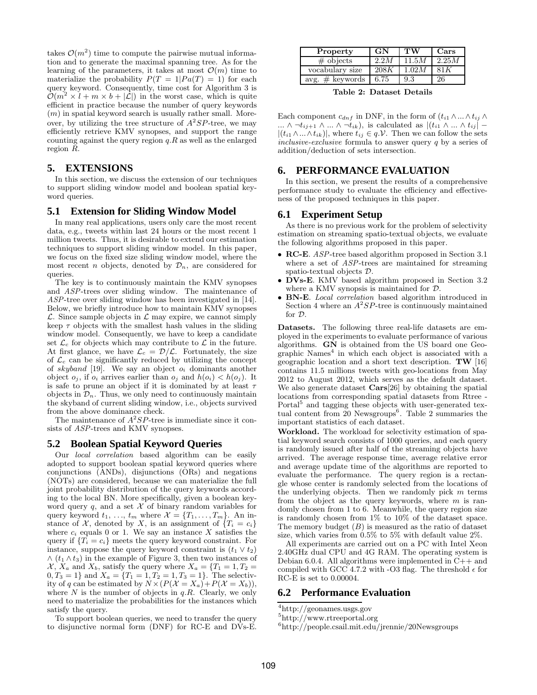takes  $\mathcal{O}(m^2)$  time to compute the pairwise mutual information and to generate the maximal spanning tree. As for the learning of the parameters, it takes at most  $\mathcal{O}(m)$  time to materialize the probability  $P(T = 1|Pa(T) = 1)$  for each query keyword. Consequently, time cost for Algorithm 3 is  $\mathcal{O}(m^2 \times \ell + m \times b + |\mathcal{L}|)$  in the worst case, which is quite efficient in practice because the number of query keywords  $(m)$  in spatial keyword search is usually rather small. Moreover, by utilizing the tree structure of  $A^2SP$ -tree, we may efficiently retrieve KMV synopses, and support the range counting against the query region  $q.R$  as well as the enlarged region R.

# **5. EXTENSIONS**

In this section, we discuss the extension of our techniques to support sliding window model and boolean spatial keyword queries.

### **5.1 Extension for Sliding Window Model**

In many real applications, users only care the most recent data, e.g., tweets within last 24 hours or the most recent 1 million tweets. Thus, it is desirable to extend our estimation techniques to support sliding window model. In this paper, we focus on the fixed size sliding window model, where the most recent *n* objects, denoted by  $\mathcal{D}_n$ , are considered for queries.

The key is to continuously maintain the KMV synopses and ASP-trees over sliding window. The maintenance of ASP-tree over sliding window has been investigated in [14]. Below, we briefly introduce how to maintain KMV synopses  $\mathcal{L}$ . Since sample objects in  $\mathcal{L}$  may expire, we cannot simply keep  $\tau$  objects with the smallest hash values in the sliding window model. Consequently, we have to keep a candidate set  $\mathcal{L}_c$  for objects which may contribute to  $\mathcal L$  in the future. At first glance, we have  $\mathcal{L}_c = \mathcal{D}/\mathcal{L}$ . Fortunately, the size of  $\mathcal{L}_c$  can be significantly reduced by utilizing the concept of skyband [19]. We say an object  $o_i$  dominants another object  $o_j$ , if  $o_i$  arrives earlier than  $o_j$  and  $h(o_i) < h(o_j)$ . It is safe to prune an object if it is dominated by at least  $\tau$ objects in  $\mathcal{D}_n$ . Thus, we only need to continuously maintain the skyband of current sliding window, i.e., objects survived from the above dominance check.

The maintenance of  $A^2SP$ -tree is immediate since it consists of ASP-trees and KMV synopses.

### **5.2 Boolean Spatial Keyword Queries**

Our local correlation based algorithm can be easily adopted to support boolean spatial keyword queries where conjunctions (ANDs), disjunctions (ORs) and negations (NOTs) are considered, because we can materialize the full joint probability distribution of the query keywords according to the local BN. More specifically, given a boolean keyword query  $q$ , and a set  $\mathcal X$  of binary random variables for query keyword  $t_1, \ldots, t_m$  where  $\mathcal{X} = \{T_1, \ldots, T_m\}$ . An instance of  $X$ , denoted by X, is an assignment of  $\{T_i = c_i\}$ where  $c_i$  equals 0 or 1. We say an instance X satisfies the query if  ${T_i = c_i}$  meets the query keyword constraint. For instance, suppose the query keyword constraint is  $(t_1 \vee t_2)$  $\wedge$  ( $t_1 \wedge t_3$ ) in the example of Figure 3, then two instances of  $X, X_a$  and  $X_b$ , satisfy the query where  $X_a = \{T_1 = 1, T_2 =$  $0, T_3 = 1$  and  $X_a = \{T_1 = 1, T_2 = 1, T_3 = 1\}$ . The selectivity of q can be estimated by  $N \times (P(\mathcal{X} = X_a)+P(\mathcal{X} = X_b)),$ where  $N$  is the number of objects in  $q.R$ . Clearly, we only need to materialize the probabilities for the instances which satisfy the query.

To support boolean queries, we need to transfer the query to disjunctive normal form (DNF) for RC-E and DVs-E.

| Property           | GN   | TW    | Cars  |
|--------------------|------|-------|-------|
| # objects          | 2.2M | 11.5M | 2.25M |
| vocabulary size    | 208K | 1.02M | 81 K  |
| avg. $\#$ keywords | 6.75 | 9.3   | 26    |

Table 2: Dataset Details

Each component  $c_{dnf}$  in DNF, in the form of  $(t_{i1} \wedge ... \wedge t_{ij} \wedge$ ...  $\wedge \neg t_{ij+1} \wedge ... \wedge \neg t_{ik}$ ), is calculated as  $|(t_{i1} \wedge ... \wedge t_{ij}| |(t_{i1} \wedge ... \wedge t_{ik})|$ , where  $t_{ij} \in q.\mathcal{V}$ . Then we can follow the sets inclusive-exclusive formula to answer query q by a series of addition/deduction of sets intersection.

# **6. PERFORMANCE EVALUATION**

In this section, we present the results of a comprehensive performance study to evaluate the efficiency and effectiveness of the proposed techniques in this paper.

### **6.1 Experiment Setup**

As there is no previous work for the problem of selectivity estimation on streaming spatio-textual objects, we evaluate the following algorithms proposed in this paper.

- RC-E. ASP-tree based algorithm proposed in Section 3.1 where a set of *ASP*-trees are maintained for streaming spatio-textual objects D.
- DVs-E. KMV based algorithm proposed in Section 3.2 where a KMV synopsis is maintained for  $D$ .
- BN-E. Local correlation based algorithm introduced in Section 4 where an  $A^2SP$ -tree is continuously maintained for D.

Datasets. The following three real-life datasets are employed in the experiments to evaluate performance of various algorithms. GN is obtained from the US board one Geographic Names<sup>4</sup> in which each object is associated with a geographic location and a short text description. TW [16] contains 11.5 millions tweets with geo-locations from May 2012 to August 2012, which serves as the default dataset. We also generate dataset Cars[26] by obtaining the spatial locations from corresponding spatial datasets from Rtree - Portal<sup>5</sup> and tagging these objects with user-generated textual content from 20 Newsgroups<sup>6</sup>. Table 2 summaries the important statistics of each dataset.

Workload. The workload for selectivity estimation of spatial keyword search consists of 1000 queries, and each query is randomly issued after half of the streaming objects have arrived. The average response time, average relative error and average update time of the algorithms are reported to evaluate the performance. The query region is a rectangle whose center is randomly selected from the locations of the underlying objects. Then we randomly pick  $m$  terms from the object as the query keywords, where  $m$  is randomly chosen from 1 to 6. Meanwhile, the query region size is randomly chosen from 1% to 10% of the dataset space. The memory budget  $(B)$  is measured as the ratio of dataset size, which varies from 0.5% to 5% with default value 2%.

All experiments are carried out on a PC with Intel Xeon 2.40GHz dual CPU and 4G RAM. The operating system is Debian 6.0.4. All algorithms were implemented in C++ and compiled with GCC 4.7.2 with -O3 flag. The threshold  $\epsilon$  for RC-E is set to 0.00004.

### **6.2 Performance Evaluation**

<sup>4</sup>http://geonames.usgs.gov

- 5 http://www.rtreeportal.org
- 6 http://people.csail.mit.edu/jrennie/20Newsgroups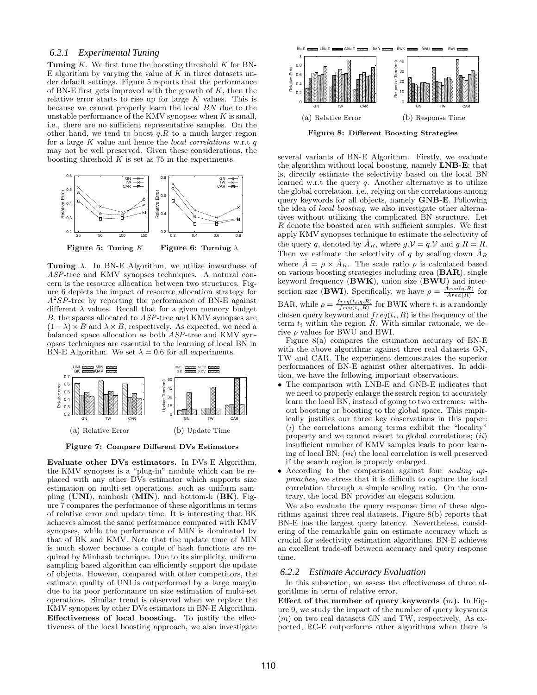### *6.2.1 Experimental Tuning*

**Tuning**  $K$ . We first tune the boosting threshold  $K$  for BN-E algorithm by varying the value of  $K$  in three datasets under default settings. Figure 5 reports that the performance of BN-E first gets improved with the growth of  $K$ , then the relative error starts to rise up for large  $K$  values. This is because we cannot properly learn the local BN due to the unstable performance of the KMV synopses when  $K$  is small, i.e., there are no sufficient representative samples. On the other hand, we tend to boost  $q.R$  to a much larger region for a large  $K$  value and hence the *local correlations* w.r.t  $q$ may not be well preserved. Given these considerations, the boosting threshold  $K$  is set as 75 in the experiments.



Tuning  $\lambda$ . In BN-E Algorithm, we utilize inwardness of ASP-tree and KMV synopses techniques. A natural concern is the resource allocation between two structures. Figure 6 depicts the impact of resource allocation strategy for  $A^2SP$ -tree by reporting the performance of BN-E against different  $\lambda$  values. Recall that for a given memory budget B, the spaces allocated to ASP-tree and KMV synopses are  $(1 - \lambda) \times B$  and  $\lambda \times B$ , respectively. As expected, we need a balanced space allocation as both ASP-tree and KMV synopses techniques are essential to the learning of local BN in BN-E Algorithm. We set  $\lambda = 0.6$  for all experiments.



Figure 7: Compare Different DVs Estimators

Evaluate other DVs estimators. In DVs-E Algorithm, the KMV synopses is a "plug-in" module which can be replaced with any other DVs estimator which supports size estimation on multi-set operations, such as uniform sampling  $(UNI)$ , minhash  $(MIN)$ , and bottom-k  $(BK)$ . Figure 7 compares the performance of these algorithms in terms of relative error and update time. It is interesting that BK achieves almost the same performance compared with KMV synopses, while the performance of MIN is dominated by that of BK and KMV. Note that the update time of MIN is much slower because a couple of hash functions are required by Minhash technique. Due to its simplicity, uniform sampling based algorithm can efficiently support the update of objects. However, compared with other competitors, the estimate quality of UNI is outperformed by a large margin due to its poor performance on size estimation of multi-set operations. Similar trend is observed when we replace the KMV synopses by other DVs estimators in BN-E Algorithm. Effectiveness of local boosting. To justify the effectiveness of the local boosting approach, we also investigate



several variants of BN-E Algorithm. Firstly, we evaluate the algorithm without local boosting, namely LNB-E; that is, directly estimate the selectivity based on the local BN learned w.r.t the query q. Another alternative is to utilize the global correlation, i.e., relying on the correlations among query keywords for all objects, namely GNB-E. Following the idea of local boosting, we also investigate other alternatives without utilizing the complicated BN structure. Let R denote the boosted area with sufficient samples. We first apply KMV synopses technique to estimate the selectivity of the query g, denoted by  $\hat{A}_R$ , where  $g.V = q.V$  and  $g.R = R$ . Then we estimate the selectivity of q by scaling down  $\ddot{A}_R$ where  $\tilde{A} = \rho \times \tilde{A}_R$ . The scale ratio  $\rho$  is calculated based on various boosting strategies including area (BAR), single keyword frequency  $(BWK)$ , union size  $(BWU)$  and intersection size (BWI). Specifically, we have  $\rho = \frac{Area(q.R)}{Area(R)}$  for BAR, while  $\rho = \frac{freq(t_i, q.R)}{freq(t_i, R)}$  for BWK where  $t_i$  is a randomly chosen query keyword and  $freq(t_i, R)$  is the frequency of the term  $t_i$  within the region  $R$ . With similar rationale, we derive  $\rho$  values for BWU and BWI.

Figure 8(a) compares the estimation accuracy of BN-E with the above algorithms against three real datasets GN, TW and CAR. The experiment demonstrates the superior performances of BN-E against other alternatives. In addition, we have the following important observations.

- The comparison with LNB-E and GNB-E indicates that we need to properly enlarge the search region to accurately learn the local BN, instead of going to two extremes: without boosting or boosting to the global space. This empirically justifies our three key observations in this paper:  $(i)$  the correlations among terms exhibit the "locality" property and we cannot resort to global correlations;  $(ii)$ insufficient number of KMV samples leads to poor learning of local BN; (iii) the local correlation is well preserved if the search region is properly enlarged.
- According to the comparison against four scaling approaches, we stress that it is difficult to capture the local correlation through a simple scaling ratio. On the contrary, the local BN provides an elegant solution.

We also evaluate the query response time of these algorithms against three real datasets. Figure 8(b) reports that BN-E has the largest query latency. Nevertheless, considering of the remarkable gain on estimate accuracy which is crucial for selectivity estimation algorithms, BN-E achieves an excellent trade-off between accuracy and query response time.

#### *6.2.2 Estimate Accuracy Evaluation*

In this subsection, we assess the effectiveness of three algorithms in term of relative error.

Effect of the number of query keywords  $(m)$ . In Figure 9, we study the impact of the number of query keywords  $(m)$  on two real datasets GN and TW, respectively. As expected, RC-E outperforms other algorithms when there is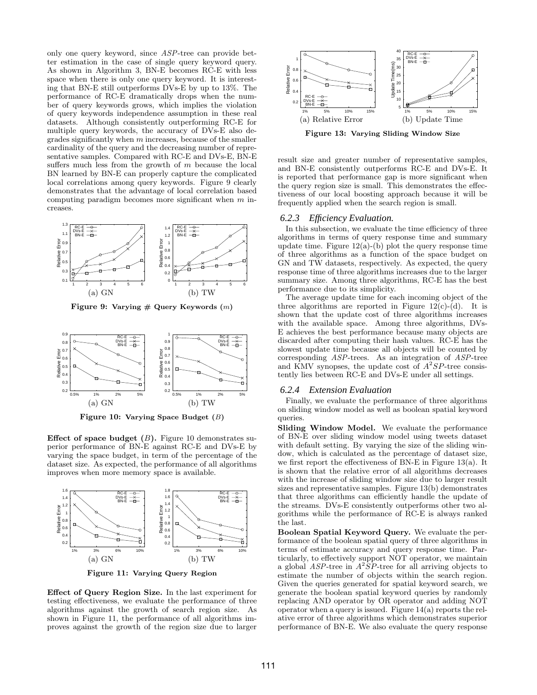only one query keyword, since ASP-tree can provide better estimation in the case of single query keyword query. As shown in Algorithm 3, BN-E becomes RC-E with less space when there is only one query keyword. It is interesting that BN-E still outperforms DVs-E by up to 13%. The performance of RC-E dramatically drops when the number of query keywords grows, which implies the violation of query keywords independence assumption in these real datasets. Although consistently outperforming RC-E for multiple query keywords, the accuracy of DVs-E also degrades significantly when  $m$  increases, because of the smaller cardinality of the query and the decreasing number of representative samples. Compared with RC-E and DVs-E, BN-E suffers much less from the growth of  $m$  because the local BN learned by BN-E can properly capture the complicated local correlations among query keywords. Figure 9 clearly demonstrates that the advantage of local correlation based computing paradigm becomes more significant when  $m$  increases.



Figure 9: Varying  $#$  Query Keywords  $(m)$ 



Figure 10: Varying Space Budget (B)

Effect of space budget  $(B)$ . Figure 10 demonstrates superior performance of BN-E against RC-E and DVs-E by varying the space budget, in term of the percentage of the dataset size. As expected, the performance of all algorithms improves when more memory space is available.



Figure 11: Varying Query Region

Effect of Query Region Size. In the last experiment for testing effectiveness, we evaluate the performance of three algorithms against the growth of search region size. As shown in Figure 11, the performance of all algorithms improves against the growth of the region size due to larger



Figure 13: Varying Sliding Window Size

result size and greater number of representative samples, and BN-E consistently outperforms RC-E and DVs-E. It is reported that performance gap is more significant when the query region size is small. This demonstrates the effectiveness of our local boosting approach because it will be frequently applied when the search region is small.

### *6.2.3 Efficiency Evaluation.*

In this subsection, we evaluate the time efficiency of three algorithms in terms of query response time and summary update time. Figure  $12(a)$ -(b) plot the query response time of three algorithms as a function of the space budget on GN and TW datasets, respectively. As expected, the query response time of three algorithms increases due to the larger summary size. Among three algorithms, RC-E has the best performance due to its simplicity.

The average update time for each incoming object of the three algorithms are reported in Figure  $12(c)-(d)$ . It is shown that the update cost of three algorithms increases with the available space. Among three algorithms, DVs-E achieves the best performance because many objects are discarded after computing their hash values. RC-E has the slowest update time because all objects will be counted by corresponding ASP-trees. As an integration of ASP-tree and KMV synopses, the update cost of  $A^2SP$ -tree consistently lies between RC-E and DVs-E under all settings.

#### *6.2.4 Extension Evaluation*

Finally, we evaluate the performance of three algorithms on sliding window model as well as boolean spatial keyword queries.

Sliding Window Model. We evaluate the performance of BN-E over sliding window model using tweets dataset with default setting. By varying the size of the sliding window, which is calculated as the percentage of dataset size, we first report the effectiveness of BN-E in Figure 13(a). It is shown that the relative error of all algorithms decreases with the increase of sliding window size due to larger result sizes and representative samples. Figure 13(b) demonstrates that three algorithms can efficiently handle the update of the streams. DVs-E consistently outperforms other two algorithms while the performance of RC-E is always ranked the last.

Boolean Spatial Keyword Query. We evaluate the performance of the boolean spatial query of three algorithms in terms of estimate accuracy and query response time. Particularly, to effectively support NOT operator, we maintain a global  $ASP$ -tree in  $A^2SP$ -tree for all arriving objects to estimate the number of objects within the search region. Given the queries generated for spatial keyword search, we generate the boolean spatial keyword queries by randomly replacing AND operator by OR operator and adding NOT operator when a query is issued. Figure  $14(a)$  reports the relative error of three algorithms which demonstrates superior performance of BN-E. We also evaluate the query response